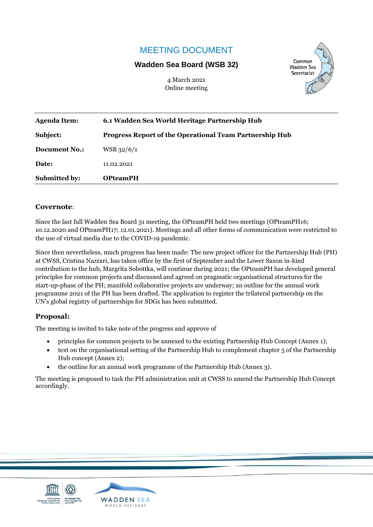# MEETING DOCUMENT

### **Wadden Sea Board (WSB 32)**

4 March 2021 Online meeting



| <b>Agenda Item:</b>  | 6.1 Wadden Sea World Heritage Partnership Hub                  |
|----------------------|----------------------------------------------------------------|
| Subject:             | <b>Progress Report of the Operational Team Partnership Hub</b> |
| <b>Document No.:</b> | $WSB$ 32/6/1                                                   |
| Date:                | 11.02.2021                                                     |
| <b>Submitted by:</b> | <b>OPteamPH</b>                                                |

#### **Covernote**:

Since the last full Wadden Sea Board 31 meeting, the OPteamPH held two meetings (OPteamPH16; 10.12.2020 and OPteamPH17; 12.01.2021). Meetings and all other forms of communication were restricted to the use of virtual media due to the COVID-19 pandemic.

Since then nevertheless, much progress has been made: The new project officer for the Partnership Hub (PH) at CWSS, Cristina Nazzari, has taken office by the first of September and the Lower Saxon in-kind contribution to the hub, Margrita Sobottka, will continue during 2021; the OPteamPH has developed general principles for common projects and discussed and agreed on pragmatic organisational structures for the start-up-phase of the PH; manifold collaborative projects are underway; an outline for the annual work programme 2021 of the PH has been drafted. The application to register the trilateral partnership on the UN's global registry of partnerships for SDGs has been submitted.

### **Proposal:**

The meeting is invited to take note of the progress and approve of

- principles for common projects to be annexed to the existing Partnership Hub Concept (Annex 1);
- text on the organisational setting of the Partnership Hub to complement chapter 5 of the Partnership Hub concept (Annex 2);
- the outline for an annual work programme of the Partnership Hub (Annex 3).

The meeting is proposed to task the PH administration unit at CWSS to amend the Partnership Hub Concept accordingly.



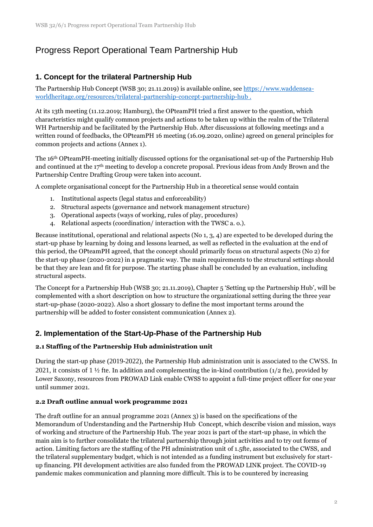# Progress Report Operational Team Partnership Hub

# **1. Concept for the trilateral Partnership Hub**

The Partnership Hub Concept (WSB 30; 21.11.2019) is available online, see [https://www.waddensea](https://www.waddensea-worldheritage.org/resources/trilateral-partnership-concept-partnership-hub)[worldheritage.org/resources/trilateral-partnership-concept-partnership-hub](https://www.waddensea-worldheritage.org/resources/trilateral-partnership-concept-partnership-hub) .

At its 13th meeting (11.12.2019; Hamburg), the OPteamPH tried a first answer to the question, which characteristics might qualify common projects and actions to be taken up within the realm of the Trilateral WH Partnership and be facilitated by the Partnership Hub. After discussions at following meetings and a written round of feedbacks, the OPteamPH 16 meeting (16.09.2020, online) agreed on general principles for common projects and actions (Annex 1).

The 16th OPteamPH-meeting initially discussed options for the organisational set-up of the Partnership Hub and continued at the 17th meeting to develop a concrete proposal. Previous ideas from Andy Brown and the Partnership Centre Drafting Group were taken into account.

A complete organisational concept for the Partnership Hub in a theoretical sense would contain

- 1. Institutional aspects (legal status and enforceability)
- 2. Structural aspects (governance and network management structure)
- 3. Operational aspects (ways of working, rules of play, procedures)
- 4. Relational aspects (coordination/ interaction with the TWSC a. o.).

Because institutional, operational and relational aspects (No 1, 3, 4) are expected to be developed during the start-up phase by learning by doing and lessons learned, as well as reflected in the evaluation at the end of this period, the OPteamPH agreed, that the concept should primarily focus on structural aspects (No 2) for the start-up phase (2020-2022) in a pragmatic way. The main requirements to the structural settings should be that they are lean and fit for purpose. The starting phase shall be concluded by an evaluation, including structural aspects.

The Concept for a Partnership Hub (WSB 30; 21.11.2019), Chapter 5 'Setting up the Partnership Hub', will be complemented with a short description on how to structure the organizational setting during the three year start-up-phase (2020-2022). Also a short glossary to define the most important terms around the partnership will be added to foster consistent communication (Annex 2).

# **2. Implementation of the Start-Up-Phase of the Partnership Hub**

### **2.1 Staffing of the Partnership Hub administration unit**

During the start-up phase (2019-2022), the Partnership Hub administration unit is associated to the CWSS. In 2021, it consists of  $1 \frac{1}{2}$  fte. In addition and complementing the in-kind contribution (1/2 fte), provided by Lower Saxony, resources from PROWAD Link enable CWSS to appoint a full-time project officer for one year until summer 2021.

#### **2.2 Draft outline annual work programme 2021**

The draft outline for an annual programme 2021 (Annex 3) is based on the specifications of the Memorandum of Understanding and the Partnership Hub Concept, which describe vision and mission, ways of working and structure of the Partnership Hub. The year 2021 is part of the start-up phase, in which the main aim is to further consolidate the trilateral partnership through joint activities and to try out forms of action. Limiting factors are the staffing of the PH administration unit of 1.5fte, associated to the CWSS, and the trilateral supplementary budget, which is not intended as a funding instrument but exclusively for startup financing. PH development activities are also funded from the PROWAD LINK project. The COVID-19 pandemic makes communication and planning more difficult. This is to be countered by increasing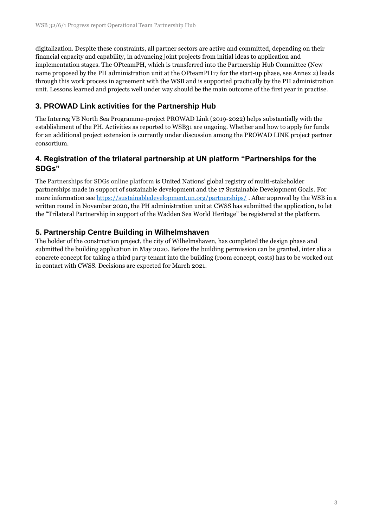digitalization. Despite these constraints, all partner sectors are active and committed, depending on their financial capacity and capability, in advancing joint projects from initial ideas to application and implementation stages. The OPteamPH, which is transferred into the Partnership Hub Committee (New name proposed by the PH administration unit at the OPteamPH17 for the start-up phase, see Annex 2) leads through this work process in agreement with the WSB and is supported practically by the PH administration unit. Lessons learned and projects well under way should be the main outcome of the first year in practise.

# **3. PROWAD Link activities for the Partnership Hub**

The Interreg VB North Sea Programme-project PROWAD Link (2019-2022) helps substantially with the establishment of the PH. Activities as reported to WSB31 are ongoing. Whether and how to apply for funds for an additional project extension is currently under discussion among the PROWAD LINK project partner consortium.

# **4. Registration of the trilateral partnership at UN platform "Partnerships for the SDGs"**

The Partnerships for SDGs online platform is United Nations' global registry of multi-stakeholder partnerships made in support of sustainable development and the 17 Sustainable Development Goals. For more information see <https://sustainabledevelopment.un.org/partnerships/>. After approval by the WSB in a written round in November 2020, the PH administration unit at CWSS has submitted the application, to let the "Trilateral Partnership in support of the Wadden Sea World Heritage" be registered at the platform.

# **5. Partnership Centre Building in Wilhelmshaven**

The holder of the construction project, the city of Wilhelmshaven, has completed the design phase and submitted the building application in May 2020. Before the building permission can be granted, inter alia a concrete concept for taking a third party tenant into the building (room concept, costs) has to be worked out in contact with CWSS. Decisions are expected for March 2021.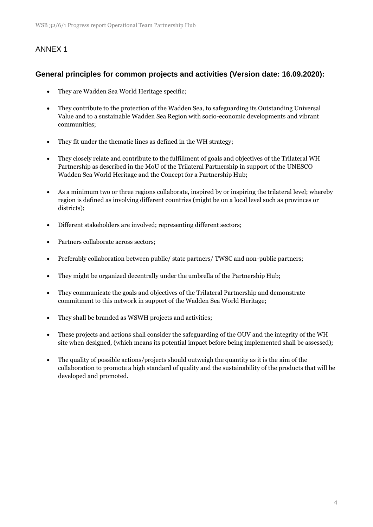# ANNEX 1

### **General principles for common projects and activities (Version date: 16.09.2020):**

- They are Wadden Sea World Heritage specific;
- They contribute to the protection of the Wadden Sea, to safeguarding its Outstanding Universal Value and to a sustainable Wadden Sea Region with socio-economic developments and vibrant communities;
- They fit under the thematic lines as defined in the WH strategy;
- They closely relate and contribute to the fulfillment of goals and objectives of the Trilateral WH Partnership as described in the MoU of the Trilateral Partnership in support of the UNESCO Wadden Sea World Heritage and the Concept for a Partnership Hub;
- As a minimum two or three regions collaborate, inspired by or inspiring the trilateral level; whereby region is defined as involving different countries (might be on a local level such as provinces or districts);
- Different stakeholders are involved; representing different sectors;
- Partners collaborate across sectors;
- Preferably collaboration between public/ state partners/ TWSC and non-public partners;
- They might be organized decentrally under the umbrella of the Partnership Hub;
- They communicate the goals and objectives of the Trilateral Partnership and demonstrate commitment to this network in support of the Wadden Sea World Heritage;
- They shall be branded as WSWH projects and activities;
- These projects and actions shall consider the safeguarding of the OUV and the integrity of the WH site when designed, (which means its potential impact before being implemented shall be assessed);
- The quality of possible actions/projects should outweigh the quantity as it is the aim of the collaboration to promote a high standard of quality and the sustainability of the products that will be developed and promoted.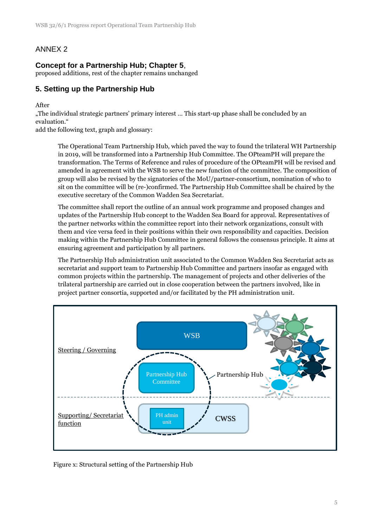# ANNEX 2

### **Concept for a Partnership Hub; Chapter 5**,

proposed additions, rest of the chapter remains unchanged

# **5. Setting up the Partnership Hub**

After

"The individual strategic partners' primary interest … This start-up phase shall be concluded by an evaluation."

add the following text, graph and glossary:

The Operational Team Partnership Hub, which paved the way to found the trilateral WH Partnership in 2019, will be transformed into a Partnership Hub Committee. The OPteamPH will prepare the transformation. The Terms of Reference and rules of procedure of the OPteamPH will be revised and amended in agreement with the WSB to serve the new function of the committee. The composition of group will also be revised by the signatories of the MoU/partner-consortium, nomination of who to sit on the committee will be (re-)confirmed. The Partnership Hub Committee shall be chaired by the executive secretary of the Common Wadden Sea Secretariat.

The committee shall report the outline of an annual work programme and proposed changes and updates of the Partnership Hub concept to the Wadden Sea Board for approval. Representatives of the partner networks within the committee report into their network organizations, consult with them and vice versa feed in their positions within their own responsibility and capacities. Decision making within the Partnership Hub Committee in general follows the consensus principle. It aims at ensuring agreement and participation by all partners.

The Partnership Hub administration unit associated to the Common Wadden Sea Secretariat acts as secretariat and support team to Partnership Hub Committee and partners insofar as engaged with common projects within the partnership. The management of projects and other deliveries of the trilateral partnership are carried out in close cooperation between the partners involved, like in project partner consortia, supported and/or facilitated by the PH administration unit.



Figure x: Structural setting of the Partnership Hub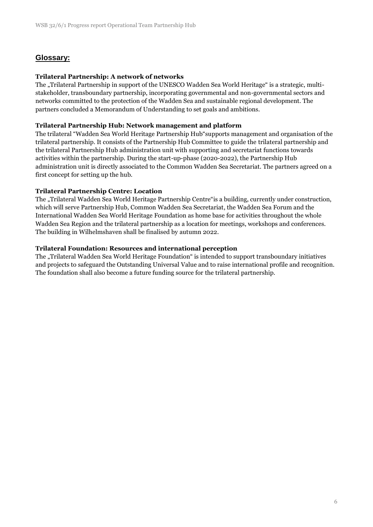### **Glossary:**

### **Trilateral Partnership: A network of networks**

The "Trilateral Partnership in support of the UNESCO Wadden Sea World Heritage" is a strategic, multistakeholder, transboundary partnership, incorporating governmental and non-governmental sectors and networks committed to the protection of the Wadden Sea and sustainable regional development. The partners concluded a Memorandum of Understanding to set goals and ambitions.

#### **Trilateral Partnership Hub: Network management and platform**

The trilateral "Wadden Sea World Heritage Partnership Hub"supports management and organisation of the trilateral partnership. It consists of the Partnership Hub Committee to guide the trilateral partnership and the trilateral Partnership Hub administration unit with supporting and secretariat functions towards activities within the partnership. During the start-up-phase (2020-2022), the Partnership Hub administration unit is directly associated to the Common Wadden Sea Secretariat. The partners agreed on a first concept for setting up the hub.

#### **Trilateral Partnership Centre: Location**

The "Trilateral Wadden Sea World Heritage Partnership Centre" is a building, currently under construction, which will serve Partnership Hub, Common Wadden Sea Secretariat, the Wadden Sea Forum and the International Wadden Sea World Heritage Foundation as home base for activities throughout the whole Wadden Sea Region and the trilateral partnership as a location for meetings, workshops and conferences. The building in Wilhelmshaven shall be finalised by autumn 2022.

#### **Trilateral Foundation: Resources and international perception**

The "Trilateral Wadden Sea World Heritage Foundation" is intended to support transboundary initiatives and projects to safeguard the Outstanding Universal Value and to raise international profile and recognition. The foundation shall also become a future funding source for the trilateral partnership.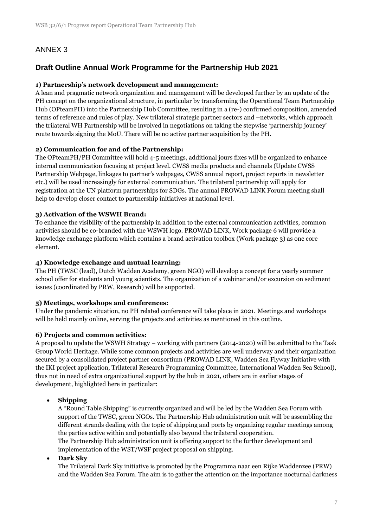# ANNEX 3

# **Draft Outline Annual Work Programme for the Partnership Hub 2021**

### **1) Partnership's network development and management:**

A lean and pragmatic network organization and management will be developed further by an update of the PH concept on the organizational structure, in particular by transforming the Operational Team Partnership Hub (OPteamPH) into the Partnership Hub Committee, resulting in a (re-) confirmed composition, amended terms of reference and rules of play. New trilateral strategic partner sectors and –networks, which approach the trilateral WH Partnership will be involved in negotiations on taking the stepwise 'partnership journey' route towards signing the MoU. There will be no active partner acquisition by the PH.

#### **2) Communication for and of the Partnership:**

The OPteamPH/PH Committee will hold 4-5 meetings, additional jours fixes will be organized to enhance internal communication focusing at project level. CWSS media products and channels (Update CWSS Partnership Webpage, linkages to partner's webpages, CWSS annual report, project reports in newsletter etc.) will be used increasingly for external communication. The trilateral partnership will apply for registration at the UN platform partnerships for SDGs. The annual PROWAD LINK Forum meeting shall help to develop closer contact to partnership initiatives at national level.

### **3) Activation of the WSWH Brand:**

To enhance the visibility of the partnership in addition to the external communication activities, common activities should be co-branded with the WSWH logo. PROWAD LINK, Work package 6 will provide a knowledge exchange platform which contains a brand activation toolbox (Work package 3) as one core element.

#### **4) Knowledge exchange and mutual learning:**

The PH (TWSC (lead), Dutch Wadden Academy, green NGO) will develop a concept for a yearly summer school offer for students and young scientists. The organization of a webinar and/or excursion on sediment issues (coordinated by PRW, Research) will be supported.

#### **5) Meetings, workshops and conferences:**

Under the pandemic situation, no PH related conference will take place in 2021. Meetings and workshops will be held mainly online, serving the projects and activities as mentioned in this outline.

#### **6) Projects and common activities:**

A proposal to update the WSWH Strategy – working with partners (2014-2020) will be submitted to the Task Group World Heritage. While some common projects and activities are well underway and their organization secured by a consolidated project partner consortium (PROWAD LINK, Wadden Sea Flyway Initiative with the IKI project application, Trilateral Research Programming Committee, International Wadden Sea School), thus not in need of extra organizational support by the hub in 2021, others are in earlier stages of development, highlighted here in particular:

### **Shipping**

A "Round Table Shipping" is currently organized and will be led by the Wadden Sea Forum with support of the TWSC, green NGOs. The Partnership Hub administration unit will be assembling the different strands dealing with the topic of shipping and ports by organizing regular meetings among the parties active within and potentially also beyond the trilateral cooperation. The Partnership Hub administration unit is offering support to the further development and

implementation of the WST/WSF project proposal on shipping.

#### **Dark Sky**

The Trilateral Dark Sky initiative is promoted by the Programma naar een Rijke Waddenzee (PRW) and the Wadden Sea Forum. The aim is to gather the attention on the importance nocturnal darkness